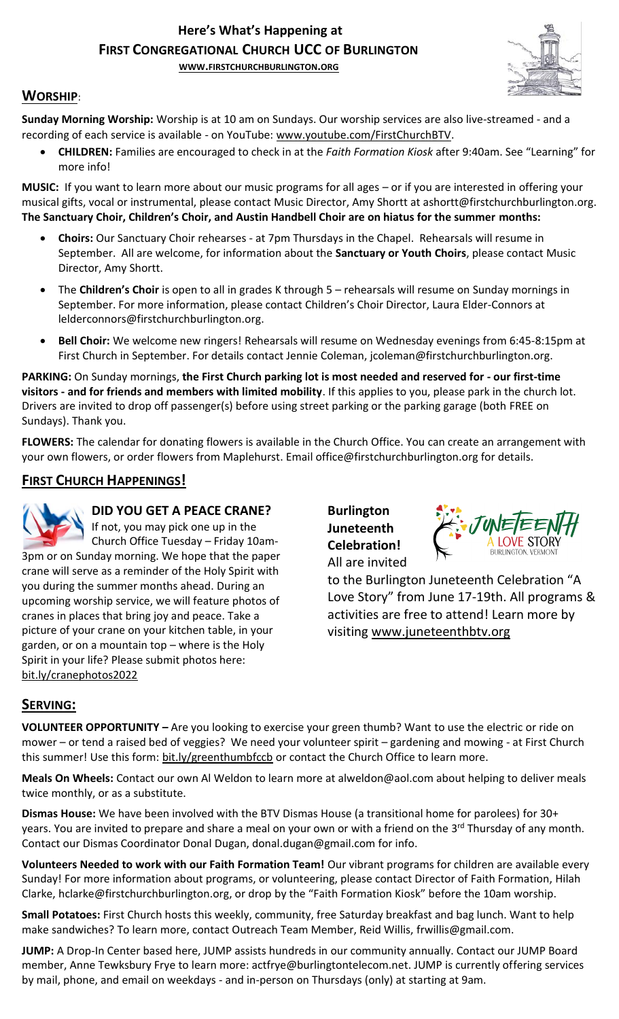# **Here's What's Happening at FIRST CONGREGATIONAL CHURCH UCC OF BURLINGTON**

**WWW.[FIRSTCHURCHBURLINGTON](http://www.firstchurchburlington.org/).ORG**



## **WORSHIP**:

**Sunday Morning Worship:** Worship is at 10 am on Sundays. Our worship services are also live-streamed - and a recording of each service is available - on YouTube: [www.youtube.com/FirstChurchBTV.](http://www.youtube.com/FirstChurchBTV)

• **CHILDREN:** Families are encouraged to check in at the *Faith Formation Kiosk* after 9:40am. See "Learning" for more info!

**MUSIC:** If you want to learn more about our music programs for all ages – or if you are interested in offering your musical gifts, vocal or instrumental, please contact Music Director, Amy Shortt at ashortt@firstchurchburlington.org. **The Sanctuary Choir, Children's Choir, and Austin Handbell Choir are on hiatus for the summer months:**

- **Choirs:** Our Sanctuary Choir rehearses at 7pm Thursdays in the Chapel. Rehearsals will resume in September. All are welcome, for information about the **Sanctuary or Youth Choirs**, please contact Music Director, Amy Shortt.
- The **Children's Choir** is open to all in grades K through 5 rehearsals will resume on Sunday mornings in September. For more information, please contact Children's Choir Director, Laura Elder-Connors at lelderconnors@firstchurchburlington.org.
- **Bell Choir:** We welcome new ringers! Rehearsals will resume on Wednesday evenings from 6:45-8:15pm at First Church in September. For details contact Jennie Coleman, [jcoleman@firstchurchburlington.org.](mailto:jcoleman@firstchurchburlington.org)

**PARKING:** On Sunday mornings, **the First Church parking lot is most needed and reserved for - our first-time visitors - and for friends and members with limited mobility**. If this applies to you, please park in the church lot. Drivers are invited to drop off passenger(s) before using street parking or the parking garage (both FREE on Sundays). Thank you.

**FLOWERS:** The calendar for donating flowers is available in the Church Office. You can create an arrangement with your own flowers, or order flowers from Maplehurst. Email office@firstchurchburlington.org for details.

## **FIRST CHURCH HAPPENINGS!**



**DID YOU GET A PEACE CRANE?**

If not, you may pick one up in the

Church Office Tuesday – Friday 10am-3pm or on Sunday morning. We hope that the paper crane will serve as a reminder of the Holy Spirit with you during the summer months ahead. During an upcoming worship service, we will feature photos of cranes in places that bring joy and peace. Take a picture of your crane on your kitchen table, in your garden, or on a mountain top – where is the Holy Spirit in your life? Please submit photos here: [bit.ly/cranephotos2022](https://bit.ly/cranephotos2022)

**Burlington Juneteenth Celebration!** All are invited



to the Burlington Juneteenth Celebration "A Love Story" from June 17-19th. All programs & activities are free to attend! Learn more by visiting [www.juneteenthbtv.org](http://www.juneteenthbtv.org/)

# **SERVING:**

**VOLUNTEER OPPORTUNITY –** Are you looking to exercise your green thumb? Want to use the electric or ride on mower – or tend a raised bed of veggies? We need your volunteer spirit – gardening and mowing - at First Church this summer! Use this form: bit.ly/greenthumbfccb or contact the Church Office to learn more.

**Meals On Wheels:** Contact our own Al Weldon to learn more at alweldon@aol.com about helping to deliver meals twice monthly, or as a substitute.

**Dismas House:** We have been involved with the BTV Dismas House (a transitional home for parolees) for 30+ years. You are invited to prepare and share a meal on your own or with a friend on the 3<sup>rd</sup> Thursday of any month. Contact our Dismas Coordinator Donal Dugan, [donal.dugan@gmail.com](mailto:donal.dugan@gmail.com) for info.

**Volunteers Needed to work with our Faith Formation Team!** Our vibrant programs for children are available every Sunday! For more information about programs, or volunteering, please contact Director of Faith Formation, Hilah Clarke, hclarke@firstchurchburlington.org, or drop by the "Faith Formation Kiosk" before the 10am worship.

**Small Potatoes:** First Church hosts this weekly, community, free Saturday breakfast and bag lunch. Want to help make sandwiches? To learn more, contact Outreach Team Member, Reid Willis, [frwillis@gmail.com.](mailto:frwillis@gmail.com)

**JUMP:** A Drop-In Center based here, JUMP assists hundreds in our community annually. Contact our JUMP Board member, Anne Tewksbury Frye to learn more: actfrye@burlingtontelecom.net. JUMP is currently offering services by mail, phone, and email on weekdays - and in-person on Thursdays (only) at starting at 9am.